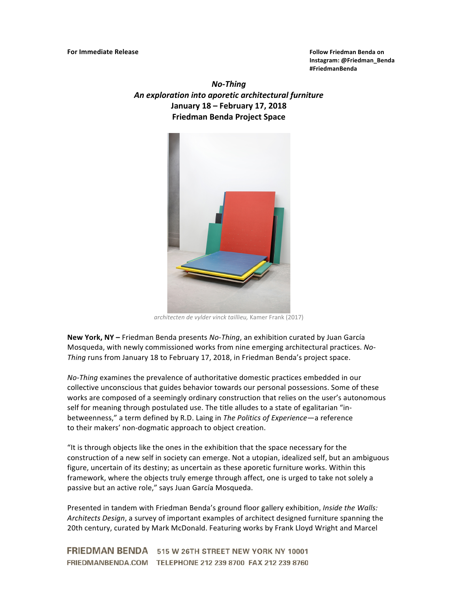**Instagram: @Friedman\_Benda #FriedmanBenda**

*No-Thing An exploration into aporetic architectural furniture* **January 18 – February 17, 2018 Friedman Benda Project Space**



*architecten de vylder vinck taillieu,* Kamer Frank (2017)

**New York, NY** – Friedman Benda presents *No-Thing*, an exhibition curated by Juan García Mosqueda, with newly commissioned works from nine emerging architectural practices. No-Thing runs from January 18 to February 17, 2018, in Friedman Benda's project space.

*No-Thing* examines the prevalence of authoritative domestic practices embedded in our collective unconscious that guides behavior towards our personal possessions. Some of these works are composed of a seemingly ordinary construction that relies on the user's autonomous self for meaning through postulated use. The title alludes to a state of egalitarian "inbetweenness," a term defined by R.D. Laing in *The Politics of Experience*—a reference to their makers' non-dogmatic approach to object creation.

"It is through objects like the ones in the exhibition that the space necessary for the construction of a new self in society can emerge. Not a utopian, idealized self, but an ambiguous figure, uncertain of its destiny; as uncertain as these aporetic furniture works. Within this framework, where the objects truly emerge through affect, one is urged to take not solely a passive but an active role," says Juan García Mosqueda.

Presented in tandem with Friedman Benda's ground floor gallery exhibition, *Inside the Walls:* Architects Design, a survey of important examples of architect designed furniture spanning the 20th century, curated by Mark McDonald. Featuring works by Frank Lloyd Wright and Marcel

FRIEDMAN BENDA 515 W 26TH STREET NEW YORK NY 10001 FRIEDMANBENDA.COM TELEPHONE 212 239 8700 FAX 212 239 8760